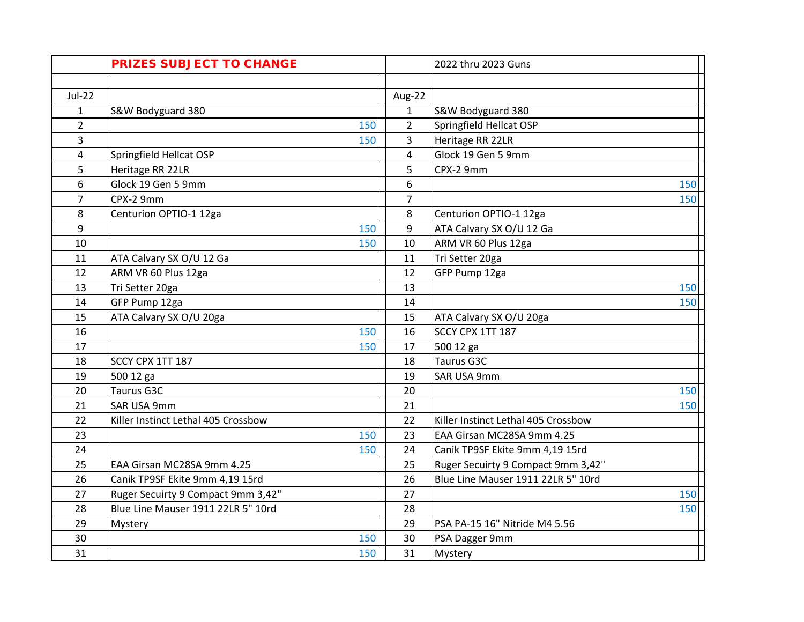|                | <b>PRIZES SUBJECT TO CHANGE</b>     |                | 2022 thru 2023 Guns                 |     |
|----------------|-------------------------------------|----------------|-------------------------------------|-----|
|                |                                     |                |                                     |     |
| $Jul-22$       |                                     | Aug-22         |                                     |     |
| $\mathbf{1}$   | S&W Bodyguard 380                   | $\mathbf{1}$   | S&W Bodyguard 380                   |     |
| $\overline{2}$ | 150                                 | $\overline{2}$ | Springfield Hellcat OSP             |     |
| 3              | 150                                 | 3              | Heritage RR 22LR                    |     |
| 4              | Springfield Hellcat OSP             | $\overline{4}$ | Glock 19 Gen 5 9mm                  |     |
| 5              | Heritage RR 22LR                    | 5              | CPX-2 9mm                           |     |
| 6              | Glock 19 Gen 5 9mm                  | 6              |                                     | 150 |
| 7              | CPX-2 9mm                           | $\overline{7}$ |                                     | 150 |
| 8              | Centurion OPTIO-1 12ga              | 8              | Centurion OPTIO-1 12ga              |     |
| 9              | 150                                 | 9              | ATA Calvary SX O/U 12 Ga            |     |
| 10             | 150                                 | 10             | ARM VR 60 Plus 12ga                 |     |
| 11             | ATA Calvary SX O/U 12 Ga            | 11             | Tri Setter 20ga                     |     |
| 12             | ARM VR 60 Plus 12ga                 | 12             | GFP Pump 12ga                       |     |
| 13             | Tri Setter 20ga                     | 13             |                                     | 150 |
| 14             | GFP Pump 12ga                       | 14             |                                     | 150 |
| 15             | ATA Calvary SX O/U 20ga             | 15             | ATA Calvary SX O/U 20ga             |     |
| 16             | 150                                 | 16             | SCCY CPX 1TT 187                    |     |
| 17             | 150                                 | 17             | 500 12 ga                           |     |
| 18             | SCCY CPX 1TT 187                    | 18             | Taurus G3C                          |     |
| 19             | 500 12 ga                           | 19             | SAR USA 9mm                         |     |
| 20             | Taurus G3C                          | 20             |                                     | 150 |
| 21             | SAR USA 9mm                         | 21             |                                     | 150 |
| 22             | Killer Instinct Lethal 405 Crossbow | 22             | Killer Instinct Lethal 405 Crossbow |     |
| 23             | 150                                 | 23             | EAA Girsan MC28SA 9mm 4.25          |     |
| 24             | 150                                 | 24             | Canik TP9SF Ekite 9mm 4,19 15rd     |     |
| 25             | EAA Girsan MC28SA 9mm 4.25          | 25             | Ruger Secuirty 9 Compact 9mm 3,42"  |     |
| 26             | Canik TP9SF Ekite 9mm 4,19 15rd     | 26             | Blue Line Mauser 1911 22LR 5" 10rd  |     |
| 27             | Ruger Secuirty 9 Compact 9mm 3,42"  | 27             |                                     | 150 |
| 28             | Blue Line Mauser 1911 22LR 5" 10rd  | 28             |                                     | 150 |
| 29             | Mystery                             | 29             | PSA PA-15 16" Nitride M4 5.56       |     |
| 30             | 150                                 | 30             | PSA Dagger 9mm                      |     |
| 31             | 150                                 | 31             | Mystery                             |     |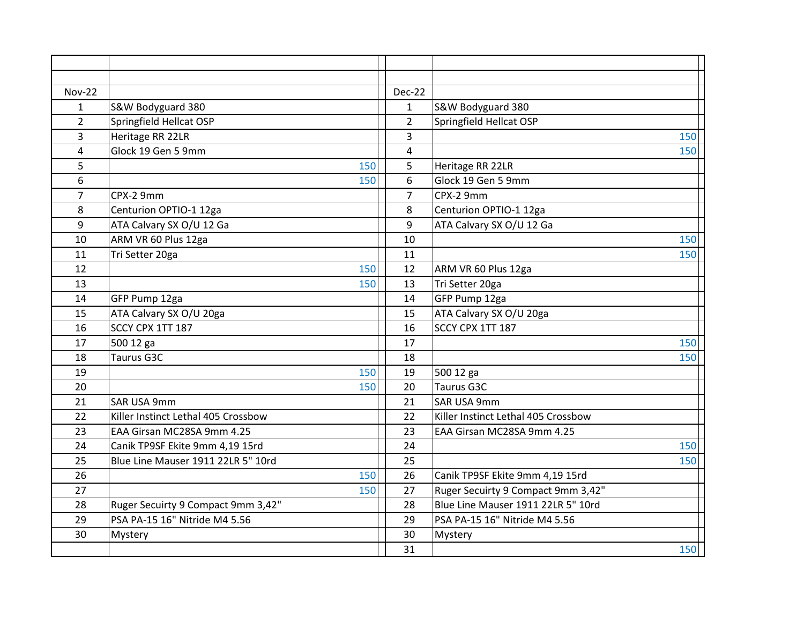| <b>Nov-22</b>  |                                     | <b>Dec-22</b>  |                                     |
|----------------|-------------------------------------|----------------|-------------------------------------|
| $\mathbf{1}$   | S&W Bodyguard 380                   | $\mathbf{1}$   | S&W Bodyguard 380                   |
| $\overline{2}$ | Springfield Hellcat OSP             | $\overline{2}$ | Springfield Hellcat OSP             |
| 3              | Heritage RR 22LR                    | 3              | 150                                 |
| 4              | Glock 19 Gen 5 9mm                  | 4              | 150                                 |
| 5              | 150                                 | 5              | Heritage RR 22LR                    |
| 6              | 150                                 | 6              | Glock 19 Gen 5 9mm                  |
| $\overline{7}$ | CPX-2 9mm                           | $\overline{7}$ | CPX-2 9mm                           |
| 8              | Centurion OPTIO-1 12ga              | 8              | Centurion OPTIO-1 12ga              |
| 9              | ATA Calvary SX O/U 12 Ga            | 9              | ATA Calvary SX O/U 12 Ga            |
| 10             | ARM VR 60 Plus 12ga                 | 10             | 150                                 |
| 11             | Tri Setter 20ga                     | 11             | 150                                 |
| 12             | 150                                 | 12             | ARM VR 60 Plus 12ga                 |
| 13             | 150                                 | 13             | Tri Setter 20ga                     |
| 14             | GFP Pump 12ga                       | 14             | GFP Pump 12ga                       |
| 15             | ATA Calvary SX O/U 20ga             | 15             | ATA Calvary SX O/U 20ga             |
| 16             | SCCY CPX 1TT 187                    | 16             | SCCY CPX 1TT 187                    |
| 17             | 500 12 ga                           | 17             | 150                                 |
| 18             | Taurus G3C                          | 18             | 150                                 |
| 19             | 150                                 | 19             | 500 12 ga                           |
| 20             | 150                                 | 20             | Taurus G3C                          |
| 21             | SAR USA 9mm                         | 21             | SAR USA 9mm                         |
| 22             | Killer Instinct Lethal 405 Crossbow | 22             | Killer Instinct Lethal 405 Crossbow |
| 23             | EAA Girsan MC28SA 9mm 4.25          | 23             | EAA Girsan MC28SA 9mm 4.25          |
| 24             | Canik TP9SF Ekite 9mm 4,19 15rd     | 24             | 150                                 |
| 25             | Blue Line Mauser 1911 22LR 5" 10rd  | 25             | 150                                 |
| 26             | 150                                 | 26             | Canik TP9SF Ekite 9mm 4,19 15rd     |
| 27             | 150                                 | 27             | Ruger Secuirty 9 Compact 9mm 3,42"  |
| 28             | Ruger Secuirty 9 Compact 9mm 3,42"  | 28             | Blue Line Mauser 1911 22LR 5" 10rd  |
| 29             | PSA PA-15 16" Nitride M4 5.56       | 29             | PSA PA-15 16" Nitride M4 5.56       |
| 30             | Mystery                             | 30             | Mystery                             |
|                |                                     | 31             | 150                                 |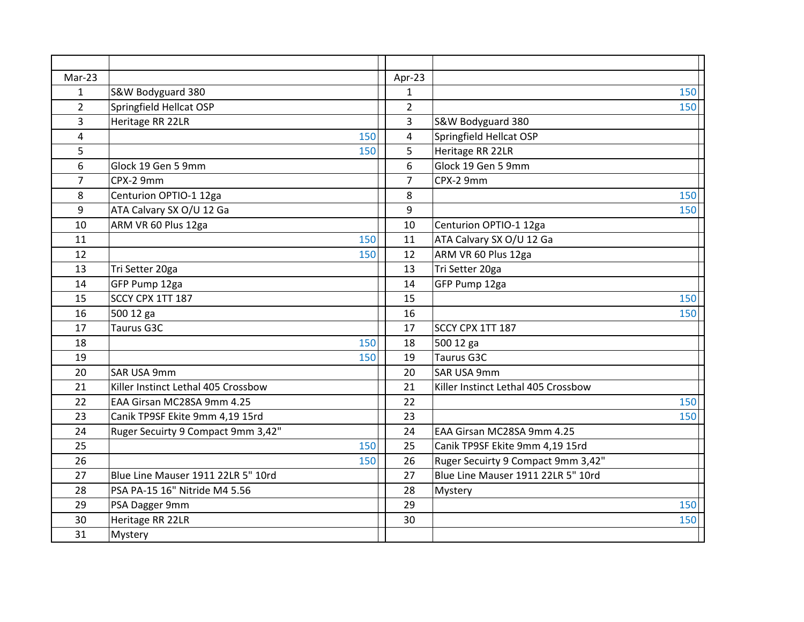| Mar-23         |                                     | Apr-23         |                                     |
|----------------|-------------------------------------|----------------|-------------------------------------|
| $\mathbf{1}$   | S&W Bodyguard 380                   | $\mathbf{1}$   | 150                                 |
| $\overline{2}$ | Springfield Hellcat OSP             | $\overline{2}$ | 150                                 |
| 3              | Heritage RR 22LR                    | 3              | S&W Bodyguard 380                   |
| 4              | 150                                 | $\overline{4}$ | Springfield Hellcat OSP             |
| 5              | 150                                 | 5              | Heritage RR 22LR                    |
| 6              | Glock 19 Gen 5 9mm                  | 6              | Glock 19 Gen 5 9mm                  |
| 7              | CPX-2 9mm                           | $\overline{7}$ | CPX-2 9mm                           |
| 8              | Centurion OPTIO-1 12ga              | 8              | 150                                 |
| 9              | ATA Calvary SX O/U 12 Ga            | 9              | 150                                 |
| 10             | ARM VR 60 Plus 12ga                 | 10             | Centurion OPTIO-1 12ga              |
| 11             | 150                                 | 11             | ATA Calvary SX O/U 12 Ga            |
| 12             | 150                                 | 12             | ARM VR 60 Plus 12ga                 |
| 13             | Tri Setter 20ga                     | 13             | Tri Setter 20ga                     |
| 14             | GFP Pump 12ga                       | 14             | GFP Pump 12ga                       |
| 15             | SCCY CPX 1TT 187                    | 15             | 150                                 |
| 16             | 500 12 ga                           | 16             | 150                                 |
| 17             | Taurus G3C                          | 17             | SCCY CPX 1TT 187                    |
| 18             | 150                                 | 18             | 500 12 ga                           |
| 19             | 150                                 | 19             | <b>Taurus G3C</b>                   |
| 20             | SAR USA 9mm                         | 20             | SAR USA 9mm                         |
| 21             | Killer Instinct Lethal 405 Crossbow | 21             | Killer Instinct Lethal 405 Crossbow |
| 22             | EAA Girsan MC28SA 9mm 4.25          | 22             | 150                                 |
| 23             | Canik TP9SF Ekite 9mm 4,19 15rd     | 23             | 150                                 |
| 24             | Ruger Secuirty 9 Compact 9mm 3,42"  | 24             | EAA Girsan MC28SA 9mm 4.25          |
| 25             | 150                                 | 25             | Canik TP9SF Ekite 9mm 4,19 15rd     |
| 26             | 150                                 | 26             | Ruger Secuirty 9 Compact 9mm 3,42"  |
| 27             | Blue Line Mauser 1911 22LR 5" 10rd  | 27             | Blue Line Mauser 1911 22LR 5" 10rd  |
| 28             | PSA PA-15 16" Nitride M4 5.56       | 28             | Mystery                             |
| 29             | PSA Dagger 9mm                      | 29             | 150                                 |
| 30             | Heritage RR 22LR                    | 30             | 150                                 |
| 31             | Mystery                             |                |                                     |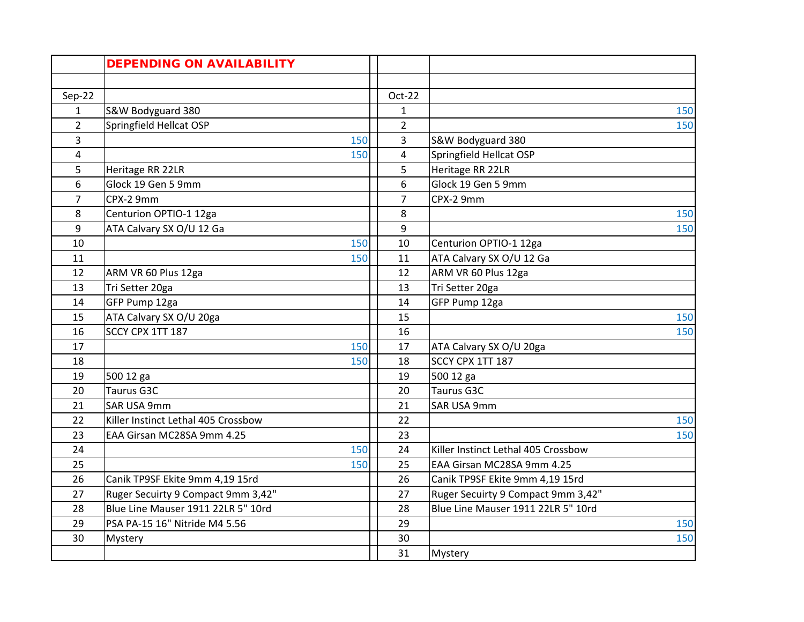|                | <b>DEPENDING ON AVAILABILITY</b>    |                |                                     |
|----------------|-------------------------------------|----------------|-------------------------------------|
|                |                                     |                |                                     |
| $Sep-22$       |                                     | $Oct-22$       |                                     |
| $\mathbf{1}$   | S&W Bodyguard 380                   | $\mathbf{1}$   | 150                                 |
| $\overline{2}$ | Springfield Hellcat OSP             | $\overline{2}$ | 150                                 |
| 3              | 150                                 | 3              | S&W Bodyguard 380                   |
| 4              | 150                                 | $\overline{4}$ | Springfield Hellcat OSP             |
| 5              | Heritage RR 22LR                    | 5              | Heritage RR 22LR                    |
| 6              | Glock 19 Gen 5 9mm                  | 6              | Glock 19 Gen 5 9mm                  |
| $\overline{7}$ | CPX-2 9mm                           | $\overline{7}$ | CPX-2 9mm                           |
| 8              | Centurion OPTIO-1 12ga              | 8              | 150                                 |
| 9              | ATA Calvary SX O/U 12 Ga            | 9              | 150                                 |
| 10             | 150                                 | 10             | Centurion OPTIO-1 12ga              |
| 11             | 150                                 | 11             | ATA Calvary SX O/U 12 Ga            |
| 12             | ARM VR 60 Plus 12ga                 | 12             | ARM VR 60 Plus 12ga                 |
| 13             | Tri Setter 20ga                     | 13             | Tri Setter 20ga                     |
| 14             | GFP Pump 12ga                       | 14             | GFP Pump 12ga                       |
| 15             | ATA Calvary SX O/U 20ga             | 15             | 150                                 |
| 16             | SCCY CPX 1TT 187                    | 16             | 150                                 |
| 17             | 150                                 | 17             | ATA Calvary SX O/U 20ga             |
| 18             | 150                                 | 18             | SCCY CPX 1TT 187                    |
| 19             | 500 12 ga                           | 19             | 500 12 ga                           |
| 20             | Taurus G3C                          | 20             | <b>Taurus G3C</b>                   |
| 21             | SAR USA 9mm                         | 21             | SAR USA 9mm                         |
| 22             | Killer Instinct Lethal 405 Crossbow | 22             | 150                                 |
| 23             | EAA Girsan MC28SA 9mm 4.25          | 23             | 150                                 |
| 24             | 150                                 | 24             | Killer Instinct Lethal 405 Crossbow |
| 25             | 150                                 | 25             | EAA Girsan MC28SA 9mm 4.25          |
| 26             | Canik TP9SF Ekite 9mm 4,19 15rd     | 26             | Canik TP9SF Ekite 9mm 4,19 15rd     |
| 27             | Ruger Secuirty 9 Compact 9mm 3,42"  | 27             | Ruger Secuirty 9 Compact 9mm 3,42"  |
| 28             | Blue Line Mauser 1911 22LR 5" 10rd  | 28             | Blue Line Mauser 1911 22LR 5" 10rd  |
| 29             | PSA PA-15 16" Nitride M4 5.56       | 29             | 150                                 |
| 30             | Mystery                             | 30             | 150                                 |
|                |                                     | 31             | Mystery                             |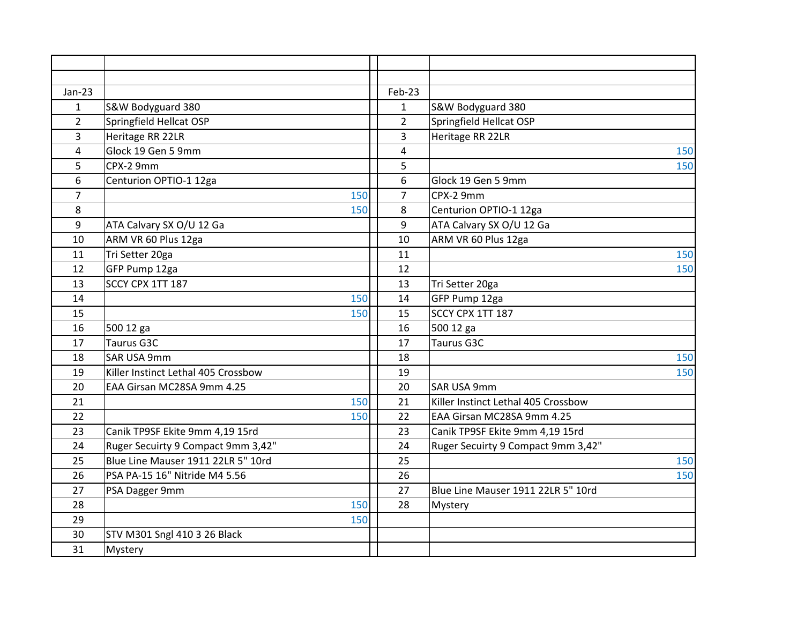| $Jan-23$       |                                     | Feb-23         |                                     |
|----------------|-------------------------------------|----------------|-------------------------------------|
| $\mathbf{1}$   | S&W Bodyguard 380                   | $\mathbf{1}$   | S&W Bodyguard 380                   |
| $\overline{2}$ | Springfield Hellcat OSP             | $\overline{2}$ | Springfield Hellcat OSP             |
| 3              | Heritage RR 22LR                    | 3              | Heritage RR 22LR                    |
| 4              | Glock 19 Gen 5 9mm                  | 4              | 150                                 |
| 5              | CPX-2 9mm                           | 5              | 150                                 |
| 6              | Centurion OPTIO-1 12ga              | 6              | Glock 19 Gen 5 9mm                  |
| $\overline{7}$ | 150                                 | $\overline{7}$ | CPX-2 9mm                           |
| 8              | 150                                 | 8              | Centurion OPTIO-1 12ga              |
| 9              | ATA Calvary SX O/U 12 Ga            | 9              | ATA Calvary SX O/U 12 Ga            |
| 10             | ARM VR 60 Plus 12ga                 | 10             | ARM VR 60 Plus 12ga                 |
| 11             | Tri Setter 20ga                     | 11             | 150                                 |
| 12             | GFP Pump 12ga                       | 12             | 150                                 |
| 13             | SCCY CPX 1TT 187                    | 13             | Tri Setter 20ga                     |
| 14             | 150                                 | 14             | GFP Pump 12ga                       |
| 15             | 150                                 | 15             | SCCY CPX 1TT 187                    |
| 16             | 500 12 ga                           | 16             | 500 12 ga                           |
| 17             | Taurus G3C                          | 17             | Taurus G3C                          |
| 18             | SAR USA 9mm                         | 18             | 150                                 |
| 19             | Killer Instinct Lethal 405 Crossbow | 19             | 150                                 |
| 20             | EAA Girsan MC28SA 9mm 4.25          | 20             | SAR USA 9mm                         |
| 21             | 150                                 | 21             | Killer Instinct Lethal 405 Crossbow |
| 22             | 150                                 | 22             | EAA Girsan MC28SA 9mm 4.25          |
| 23             | Canik TP9SF Ekite 9mm 4,19 15rd     | 23             | Canik TP9SF Ekite 9mm 4,19 15rd     |
| 24             | Ruger Secuirty 9 Compact 9mm 3,42"  | 24             | Ruger Secuirty 9 Compact 9mm 3,42"  |
| 25             | Blue Line Mauser 1911 22LR 5" 10rd  | 25             | 150                                 |
| 26             | PSA PA-15 16" Nitride M4 5.56       | 26             | 150                                 |
| 27             | PSA Dagger 9mm                      | 27             | Blue Line Mauser 1911 22LR 5" 10rd  |
| 28             | 150                                 | 28             | Mystery                             |
| 29             | 150                                 |                |                                     |
| 30             | STV M301 Sngl 410 3 26 Black        |                |                                     |
| 31             | Mystery                             |                |                                     |